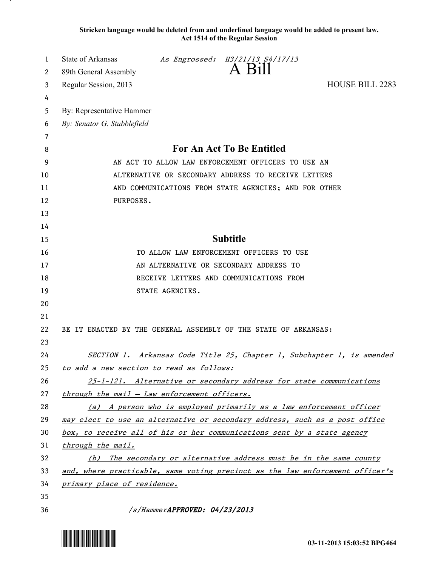**Stricken language would be deleted from and underlined language would be added to present law. Act 1514 of the Regular Session**

| 1<br>2   | State of Arkansas<br>89th General Assembly                                    |                               | As Engrossed: H3/21/13 S4/17/13<br>A Bill |                        |
|----------|-------------------------------------------------------------------------------|-------------------------------|-------------------------------------------|------------------------|
| 3        | Regular Session, 2013                                                         |                               |                                           | <b>HOUSE BILL 2283</b> |
| 4        |                                                                               |                               |                                           |                        |
| 5        | By: Representative Hammer                                                     |                               |                                           |                        |
| 6        | By: Senator G. Stubblefield                                                   |                               |                                           |                        |
| 7        |                                                                               |                               |                                           |                        |
| 8        | <b>For An Act To Be Entitled</b>                                              |                               |                                           |                        |
| 9        | AN ACT TO ALLOW LAW ENFORCEMENT OFFICERS TO USE AN                            |                               |                                           |                        |
| 10       | ALTERNATIVE OR SECONDARY ADDRESS TO RECEIVE LETTERS                           |                               |                                           |                        |
| 11       | AND COMMUNICATIONS FROM STATE AGENCIES; AND FOR OTHER                         |                               |                                           |                        |
| 12       | PURPOSES.                                                                     |                               |                                           |                        |
| 13       |                                                                               |                               |                                           |                        |
| 14       |                                                                               |                               |                                           |                        |
| 15       | <b>Subtitle</b>                                                               |                               |                                           |                        |
| 16       | TO ALLOW LAW ENFORCEMENT OFFICERS TO USE                                      |                               |                                           |                        |
| 17       | AN ALTERNATIVE OR SECONDARY ADDRESS TO                                        |                               |                                           |                        |
| 18       | RECEIVE LETTERS AND COMMUNICATIONS FROM                                       |                               |                                           |                        |
| 19       |                                                                               | STATE AGENCIES.               |                                           |                        |
| 20       |                                                                               |                               |                                           |                        |
| 21       |                                                                               |                               |                                           |                        |
| 22       | BE IT ENACTED BY THE GENERAL ASSEMBLY OF THE STATE OF ARKANSAS:               |                               |                                           |                        |
| 23       |                                                                               |                               |                                           |                        |
| 24       | SECTION 1. Arkansas Code Title 25, Chapter 1, Subchapter 1, is amended        |                               |                                           |                        |
| 25       | to add a new section to read as follows:                                      |                               |                                           |                        |
| 26       | 25-1-121. Alternative or secondary address for state communications           |                               |                                           |                        |
| 27       | through the mail - Law enforcement officers.                                  |                               |                                           |                        |
| 28       | (a) A person who is employed primarily as a law enforcement officer           |                               |                                           |                        |
| 29       | may elect to use an alternative or secondary address, such as a post office   |                               |                                           |                        |
| 30       | box, to receive all of his or her communications sent by a state agency       |                               |                                           |                        |
| 31       | through the mail.                                                             |                               |                                           |                        |
| 32       | (b) The secondary or alternative address must be in the same county           |                               |                                           |                        |
| 33       | and, where practicable, same voting precinct as the law enforcement officer's |                               |                                           |                        |
| 34       | primary place of residence.                                                   |                               |                                           |                        |
| 35<br>36 |                                                                               | /s/HammerAPPROVED: 04/23/2013 |                                           |                        |
|          |                                                                               |                               |                                           |                        |